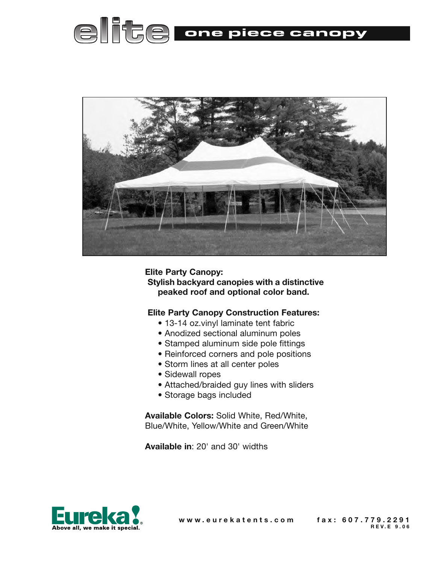



**Elite Party Canopy: Stylish backyard canopies with a distinctive peaked roof and optional color band.**

#### **Elite Party Canopy Construction Features:**

- 13-14 oz.vinyl laminate tent fabric
- Anodized sectional aluminum poles
- Stamped aluminum side pole fittings
- Reinforced corners and pole positions
- Storm lines at all center poles
- Sidewall ropes
- Attached/braided guy lines with sliders
- Storage bags included

**Available Colors:** Solid White, Red/White, Blue/White, Yellow/White and Green/White

**Available in**: 20' and 30' widths



**w w w . e u r e k a t e n t s . c o m f a x : 6 0 7 . 7 7 9 . 2 2 9 1**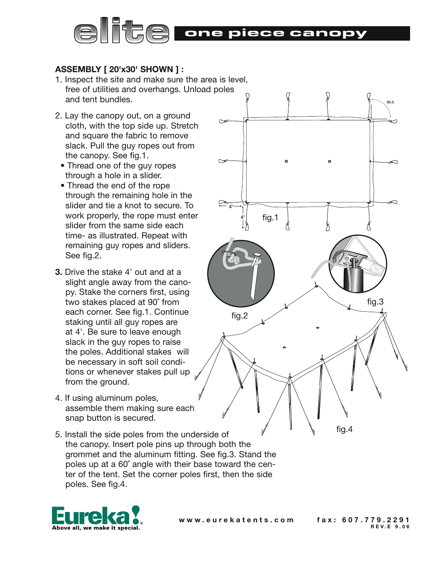

### **ASSEMBLY [ 20'x30' SHOWN ] :**

- 1. Inspect the site and make sure the area is level, free of utilities and overhangs. Unload poles and tent bundles.
- 2. Lay the canopy out, on a ground cloth, with the top side up. Stretch and square the fabric to remove slack. Pull the guy ropes out from the canopy. See fig.1.
	- Thread one of the guy ropes through a hole in a slider.
	- Thread the end of the rope through the remaining hole in the slider and tie a knot to secure. To work properly, the rope must enter slider from the same side each time- as illustrated. Repeat with remaining guy ropes and sliders. See fig.2.
- **3.** Drive the stake 4' out and at a slight angle away from the canopy. Stake the corners first, using two stakes placed at 90˚ from each corner. See fig.1. Continue staking until all guy ropes are at 4'. Be sure to leave enough slack in the guy ropes to raise the poles. Additional stakes will be necessary in soft soil conditions or whenever stakes pull up from the ground.
- 4. If using aluminum poles, assemble them making sure each snap button is secured.
- 5. Install the side poles from the underside of the canopy. Insert pole pins up through both the grommet and the aluminum fitting. See fig.3. Stand the poles up at a 60˚ angle with their base toward the center of the tent. Set the corner poles first, then the side poles. See fig.4.



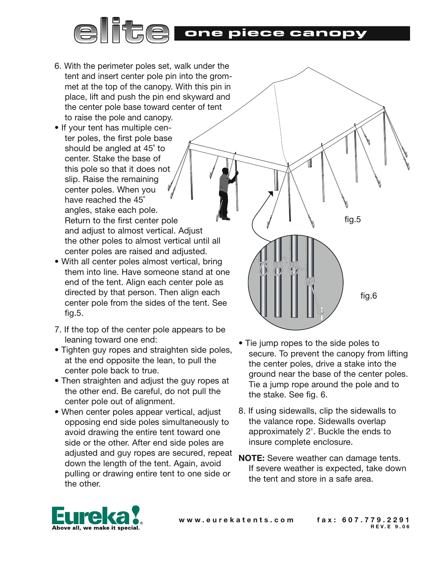## TSE EI one piece canopy

- 6. With the perimeter poles set, walk under the tent and insert center pole pin into the grommet at the top of the canopy. With this pin in place, lift and push the pin end skyward and the center pole base toward center of tent to raise the pole and canopy.
- If your tent has multiple center poles, the first pole base should be angled at 45˚ to center. Stake the base of this pole so that it does not slip. Raise the remaining center poles. When you have reached the 45˚ angles, stake each pole. Return to the first center pole and adjust to almost vertical. Adjust the other poles to almost vertical until all center poles are raised and adjusted.
- With all center poles almost vertical, bring them into line. Have someone stand at one end of the tent. Align each center pole as directed by that person. Then align each center pole from the sides of the tent. See fig.5.
- 7. If the top of the center pole appears to be leaning toward one end:
- Tighten guy ropes and straighten side poles, at the end opposite the lean, to pull the center pole back to true.
- Then straighten and adjust the guy ropes at the other end. Be careful, do not pull the center pole out of alignment.
- When center poles appear vertical, adjust opposing end side poles simultaneously to avoid drawing the entire tent toward one side or the other. After end side poles are adjusted and guy ropes are secured, repeat down the length of the tent. Again, avoid pulling or drawing entire tent to one side or the other.
- Tie jump ropes to the side poles to secure. To prevent the canopy from lifting the center poles, drive a stake into the ground near the base of the center poles. Tie a jump rope around the pole and to the stake. See fig. 6.

fig.5

fig.6

- 8. If using sidewalls, clip the sidewalls to the valance rope. Sidewalls overlap approximately 2'. Buckle the ends to insure complete enclosure.
- **NOTE:** Severe weather can damage tents. If severe weather is expected, take down the tent and store in a safe area.

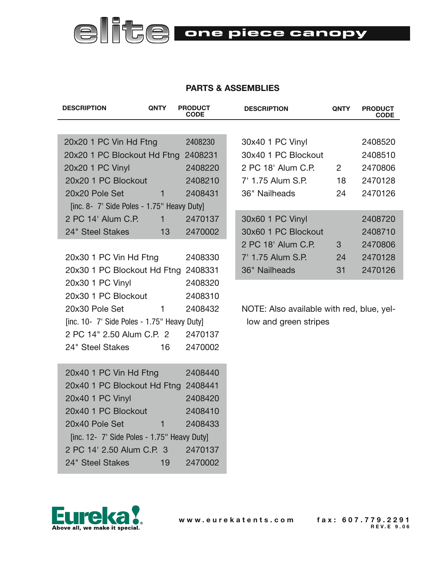# **elite** one piece canopy

### **PARTS & ASSEMBLIES**

| <b>DESCRIPTION</b>                                                   | <b>QNTY</b>  | <b>PRODUCT</b><br><b>CODE</b> | <b>DESCRIPTION</b>                        | <b>QNTY</b> | <b>PRODUCT</b><br><b>CODE</b> |
|----------------------------------------------------------------------|--------------|-------------------------------|-------------------------------------------|-------------|-------------------------------|
|                                                                      |              |                               |                                           |             |                               |
| 20x20 1 PC Vin Hd Ftng<br>2408230                                    |              |                               | 30x40 1 PC Vinyl                          |             | 2408520                       |
| 20x20 1 PC Blockout Hd Ftng 2408231                                  |              |                               | 30x40 1 PC Blockout                       |             | 2408510                       |
| 20x20 1 PC Vinyl                                                     |              | 2408220                       | 2 PC 18' Alum C.P.                        | $2^{\circ}$ | 2470806                       |
| 20x20 1 PC Blockout                                                  |              | 2408210                       | 7' 1.75 Alum S.P.                         | 18          | 2470128                       |
| 20x20 Pole Set                                                       | $\mathbf{1}$ | 2408431                       | 36" Nailheads                             | 24          | 2470126                       |
| [inc. 8- 7' Side Poles - 1.75" Heavy Duty]                           |              |                               |                                           |             |                               |
| 2 PC 14' Alum C.P.                                                   | $\mathbf{1}$ | 2470137                       | 30x60 1 PC Vinyl                          |             | 2408720                       |
| 24" Steel Stakes                                                     | 13           | 2470002                       | 30x60 1 PC Blockout                       |             | 2408710                       |
|                                                                      |              |                               | 2 PC 18' Alum C.P.                        | 3           | 2470806                       |
| 20x30 1 PC Vin Hd Ftng                                               |              | 2408330                       | 7' 1.75 Alum S.P.                         | 24          | 2470128                       |
| 20x30 1 PC Blockout Hd Ftng 2408331                                  |              |                               | 36" Nailheads                             | 31          | 2470126                       |
| 20x30 1 PC Vinyl                                                     |              | 2408320                       |                                           |             |                               |
| 20x30 1 PC Blockout                                                  |              | 2408310                       |                                           |             |                               |
| 20x30 Pole Set                                                       | 1            | 2408432                       | NOTE: Also available with red, blue, yel- |             |                               |
| [inc. 10- 7' Side Poles - 1.75" Heavy Duty]<br>low and green stripes |              |                               |                                           |             |                               |
| 2 PC 14" 2.50 Alum C.P. 2                                            |              | 2470137                       |                                           |             |                               |
| 24" Steel Stakes                                                     | 16           | 2470002                       |                                           |             |                               |
| 2408440<br>20x40 1 PC Vin Hd Ftng                                    |              |                               |                                           |             |                               |
| 20x40 1 PC Blockout Hd Ftng<br>2408441                               |              |                               |                                           |             |                               |
| 20x40 1 PC Vinyl                                                     |              | 2408420                       |                                           |             |                               |
| 20x40 1 PC Blockout                                                  |              | 2408410                       |                                           |             |                               |
| 20x40 Pole Set                                                       | 1            | 2408433                       |                                           |             |                               |
| [inc. 12- 7' Side Poles - 1.75" Heavy Duty]                          |              |                               |                                           |             |                               |
| 2 PC 14' 2.50 Alum C.P. 3                                            |              | 2470137                       |                                           |             |                               |



24" Steel Stakes 19 2470002

www.eurekatents.com fax: 607.779.2291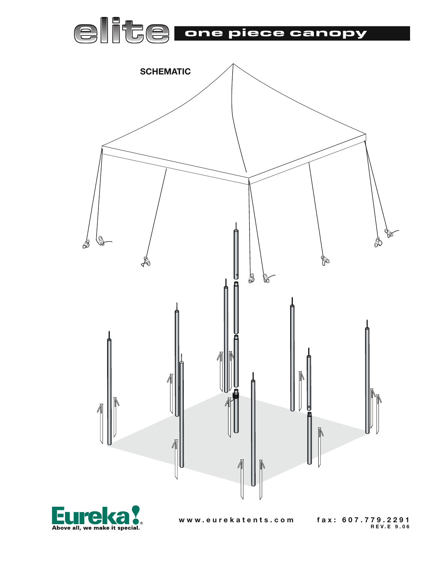





www.eurekatents.com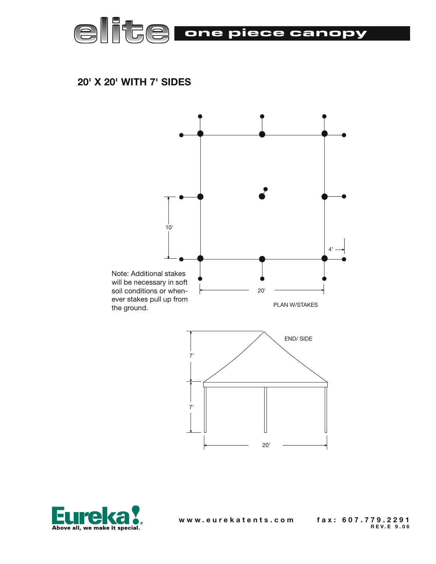

### **20' X 20' WITH 7' SIDES**



![](_page_5_Picture_3.jpeg)

www.eurekatents.com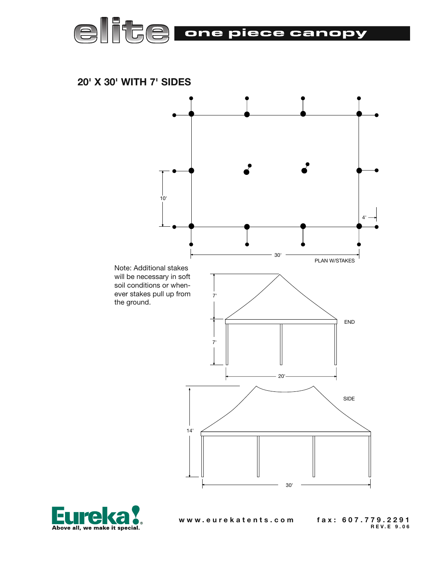![](_page_6_Picture_0.jpeg)

 **20' X 30' WITH 7' SIDES**

![](_page_6_Figure_2.jpeg)

![](_page_6_Picture_3.jpeg)

www.eurekatents.com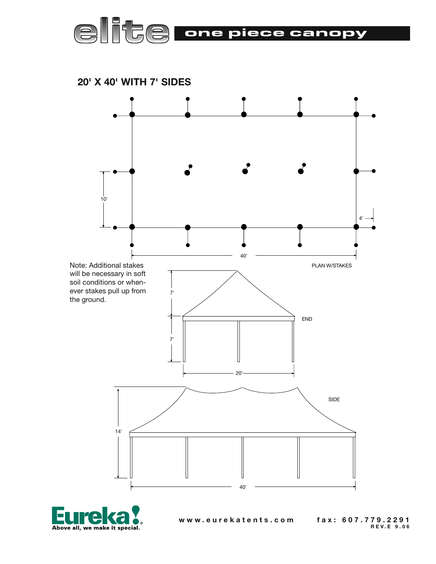![](_page_7_Picture_0.jpeg)

 **20' X 40' WITH 7' SIDES**

![](_page_7_Figure_2.jpeg)

![](_page_7_Picture_3.jpeg)

www.eurekatents.com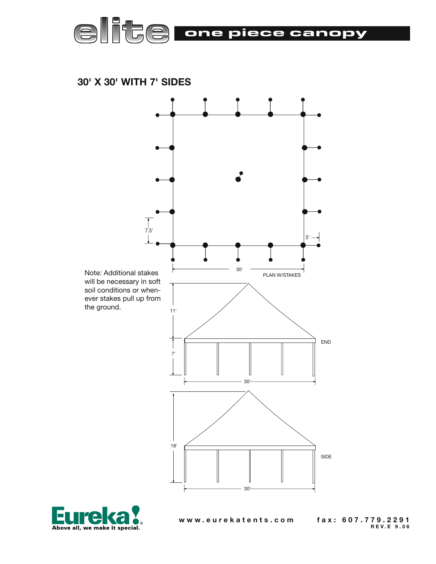![](_page_8_Picture_0.jpeg)

 **30' X 30' WITH 7' SIDES**

![](_page_8_Figure_2.jpeg)

![](_page_8_Picture_3.jpeg)

www.eurekatents.com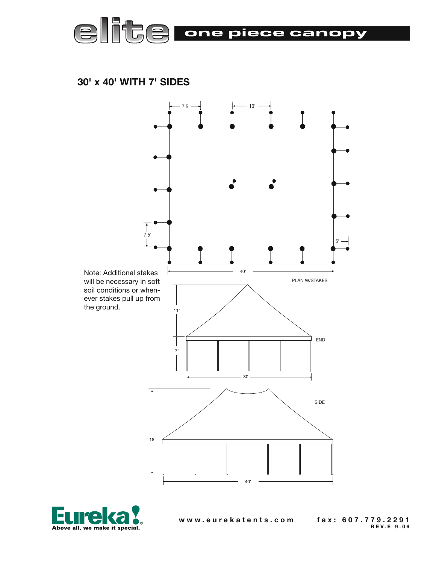![](_page_9_Picture_0.jpeg)

 **30' x 40' WITH 7' SIDES**

![](_page_9_Figure_2.jpeg)

![](_page_9_Picture_3.jpeg)

www.eurekatents.com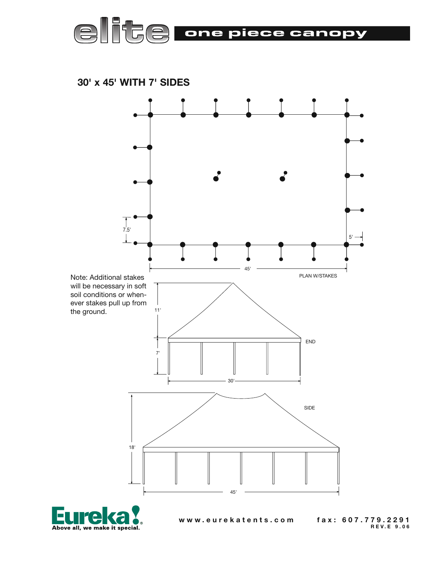![](_page_10_Picture_0.jpeg)

 **30' x 45' WITH 7' SIDES**

![](_page_10_Figure_2.jpeg)

![](_page_10_Picture_3.jpeg)

www.eurekatents.com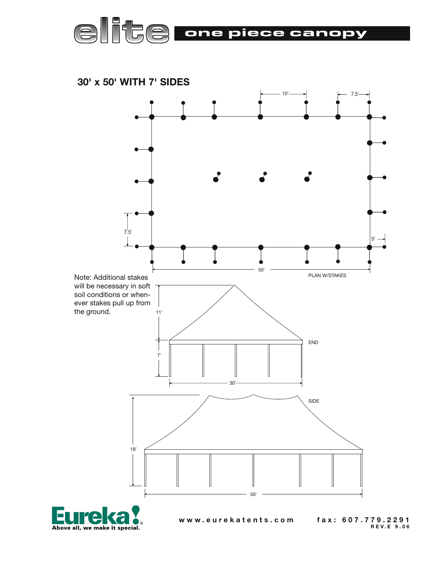![](_page_11_Picture_0.jpeg)

 **30' x 50' WITH 7' SIDES**

![](_page_11_Figure_2.jpeg)

Е Above all, we make it special.